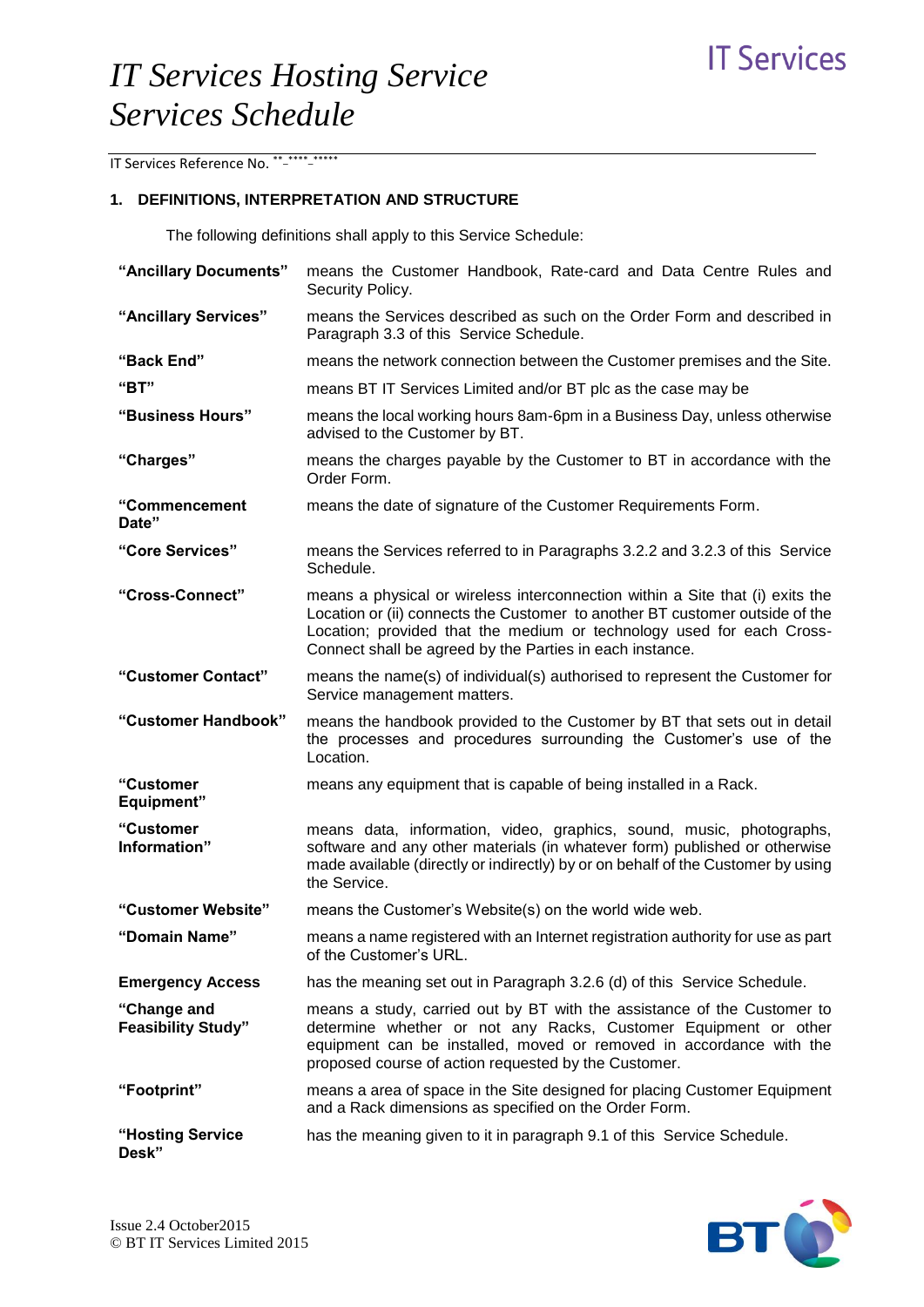IT Services Reference No. \*\* \*\*\*\*\* \*\*\*\*\*

## **1. DEFINITIONS, INTERPRETATION AND STRUCTURE**

The following definitions shall apply to this Service Schedule:

| "Ancillary Documents"                    | means the Customer Handbook, Rate-card and Data Centre Rules and<br>Security Policy.                                                                                                                                                                                                               |
|------------------------------------------|----------------------------------------------------------------------------------------------------------------------------------------------------------------------------------------------------------------------------------------------------------------------------------------------------|
| "Ancillary Services"                     | means the Services described as such on the Order Form and described in<br>Paragraph 3.3 of this Service Schedule.                                                                                                                                                                                 |
| "Back End"                               | means the network connection between the Customer premises and the Site.                                                                                                                                                                                                                           |
| "BT"                                     | means BT IT Services Limited and/or BT plc as the case may be                                                                                                                                                                                                                                      |
| "Business Hours"                         | means the local working hours 8am-6pm in a Business Day, unless otherwise<br>advised to the Customer by BT.                                                                                                                                                                                        |
| "Charges"                                | means the charges payable by the Customer to BT in accordance with the<br>Order Form.                                                                                                                                                                                                              |
| "Commencement<br>Date"                   | means the date of signature of the Customer Requirements Form.                                                                                                                                                                                                                                     |
| "Core Services"                          | means the Services referred to in Paragraphs 3.2.2 and 3.2.3 of this Service<br>Schedule.                                                                                                                                                                                                          |
| "Cross-Connect"                          | means a physical or wireless interconnection within a Site that (i) exits the<br>Location or (ii) connects the Customer to another BT customer outside of the<br>Location; provided that the medium or technology used for each Cross-<br>Connect shall be agreed by the Parties in each instance. |
| "Customer Contact"                       | means the name(s) of individual(s) authorised to represent the Customer for<br>Service management matters.                                                                                                                                                                                         |
| "Customer Handbook"                      | means the handbook provided to the Customer by BT that sets out in detail<br>the processes and procedures surrounding the Customer's use of the<br>Location.                                                                                                                                       |
| "Customer<br><b>Equipment"</b>           | means any equipment that is capable of being installed in a Rack.                                                                                                                                                                                                                                  |
| "Customer<br>Information"                | means data, information, video, graphics, sound, music, photographs,<br>software and any other materials (in whatever form) published or otherwise<br>made available (directly or indirectly) by or on behalf of the Customer by using<br>the Service.                                             |
| "Customer Website"                       | means the Customer's Website(s) on the world wide web.                                                                                                                                                                                                                                             |
| "Domain Name"                            | means a name registered with an Internet registration authority for use as part<br>of the Customer's URL.                                                                                                                                                                                          |
| <b>Emergency Access</b>                  | has the meaning set out in Paragraph 3.2.6 (d) of this Service Schedule.                                                                                                                                                                                                                           |
| "Change and<br><b>Feasibility Study"</b> | means a study, carried out by BT with the assistance of the Customer to<br>determine whether or not any Racks, Customer Equipment or other<br>equipment can be installed, moved or removed in accordance with the<br>proposed course of action requested by the Customer.                          |
| "Footprint"                              | means a area of space in the Site designed for placing Customer Equipment<br>and a Rack dimensions as specified on the Order Form.                                                                                                                                                                 |
| "Hosting Service<br>Desk"                | has the meaning given to it in paragraph 9.1 of this Service Schedule.                                                                                                                                                                                                                             |

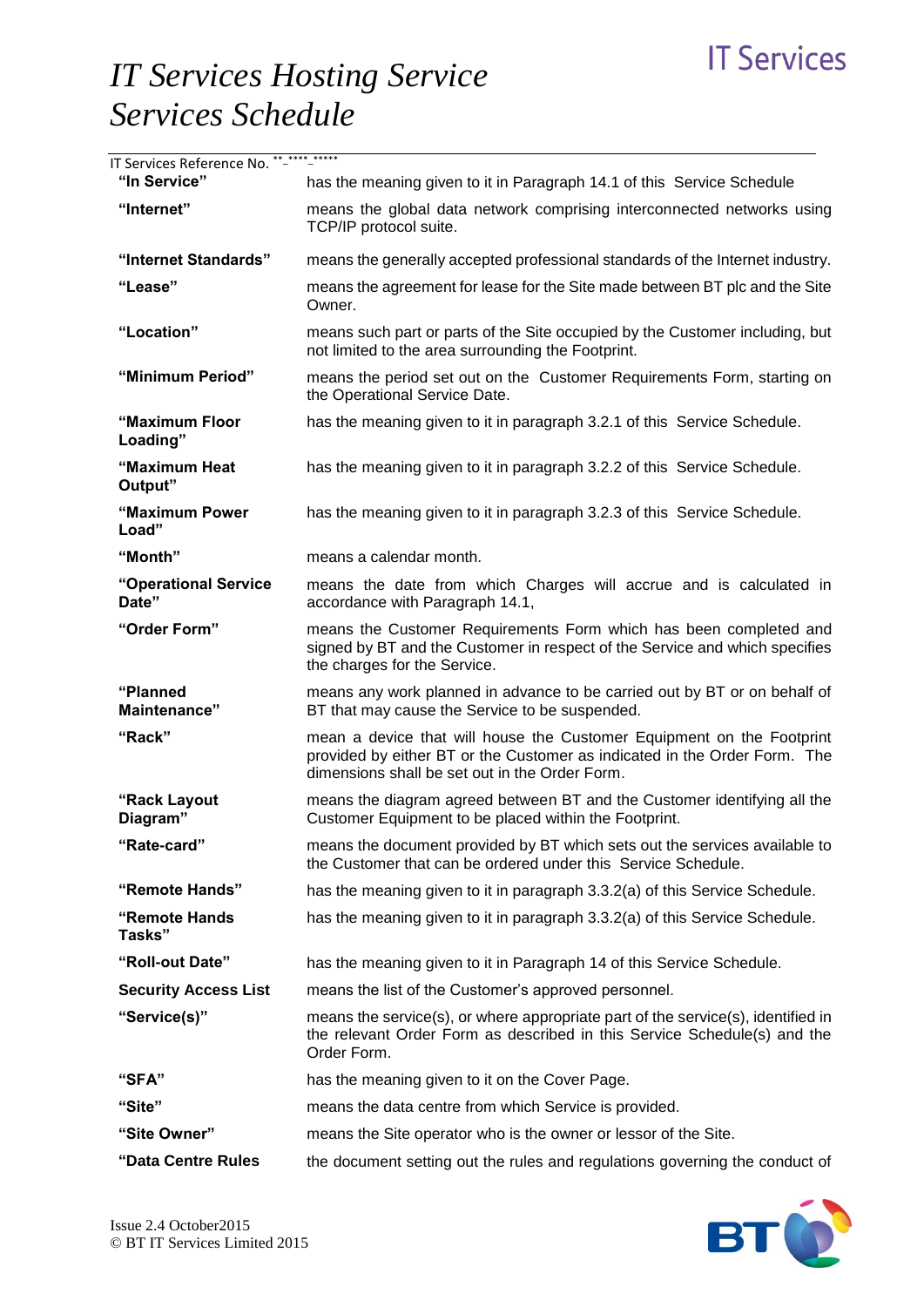# **IT Services**

# *IT Services Hosting Service Services Schedule*

| IT Services Reference No. **-**** *****<br>"In Service" | has the meaning given to it in Paragraph 14.1 of this Service Schedule                                                                                                                               |
|---------------------------------------------------------|------------------------------------------------------------------------------------------------------------------------------------------------------------------------------------------------------|
| "Internet"                                              | means the global data network comprising interconnected networks using<br>TCP/IP protocol suite.                                                                                                     |
| "Internet Standards"                                    | means the generally accepted professional standards of the Internet industry.                                                                                                                        |
| "Lease"                                                 | means the agreement for lease for the Site made between BT plc and the Site<br>Owner.                                                                                                                |
| "Location"                                              | means such part or parts of the Site occupied by the Customer including, but<br>not limited to the area surrounding the Footprint.                                                                   |
| "Minimum Period"                                        | means the period set out on the Customer Requirements Form, starting on<br>the Operational Service Date.                                                                                             |
| "Maximum Floor<br>Loading"                              | has the meaning given to it in paragraph 3.2.1 of this Service Schedule.                                                                                                                             |
| "Maximum Heat<br>Output"                                | has the meaning given to it in paragraph 3.2.2 of this Service Schedule.                                                                                                                             |
| "Maximum Power<br>Load"                                 | has the meaning given to it in paragraph 3.2.3 of this Service Schedule.                                                                                                                             |
| "Month"                                                 | means a calendar month.                                                                                                                                                                              |
| "Operational Service<br>Date"                           | means the date from which Charges will accrue and is calculated in<br>accordance with Paragraph 14.1,                                                                                                |
| "Order Form"                                            | means the Customer Requirements Form which has been completed and<br>signed by BT and the Customer in respect of the Service and which specifies<br>the charges for the Service.                     |
| "Planned<br>Maintenance"                                | means any work planned in advance to be carried out by BT or on behalf of<br>BT that may cause the Service to be suspended.                                                                          |
| "Rack"                                                  | mean a device that will house the Customer Equipment on the Footprint<br>provided by either BT or the Customer as indicated in the Order Form. The<br>dimensions shall be set out in the Order Form. |
| "Rack Layout<br>Diagram"                                | means the diagram agreed between BT and the Customer identifying all the<br>Customer Equipment to be placed within the Footprint.                                                                    |
| "Rate-card"                                             | means the document provided by BT which sets out the services available to<br>the Customer that can be ordered under this Service Schedule.                                                          |
| "Remote Hands"                                          | has the meaning given to it in paragraph 3.3.2(a) of this Service Schedule.                                                                                                                          |
| "Remote Hands<br>Tasks"                                 | has the meaning given to it in paragraph 3.3.2(a) of this Service Schedule.                                                                                                                          |
| "Roll-out Date"                                         | has the meaning given to it in Paragraph 14 of this Service Schedule.                                                                                                                                |
| <b>Security Access List</b>                             | means the list of the Customer's approved personnel.                                                                                                                                                 |
| "Service(s)"                                            | means the service(s), or where appropriate part of the service(s), identified in<br>the relevant Order Form as described in this Service Schedule(s) and the<br>Order Form.                          |
| "SFA"                                                   | has the meaning given to it on the Cover Page.                                                                                                                                                       |
| "Site"                                                  | means the data centre from which Service is provided.                                                                                                                                                |
| "Site Owner"                                            | means the Site operator who is the owner or lessor of the Site.                                                                                                                                      |
| "Data Centre Rules                                      | the document setting out the rules and regulations governing the conduct of                                                                                                                          |

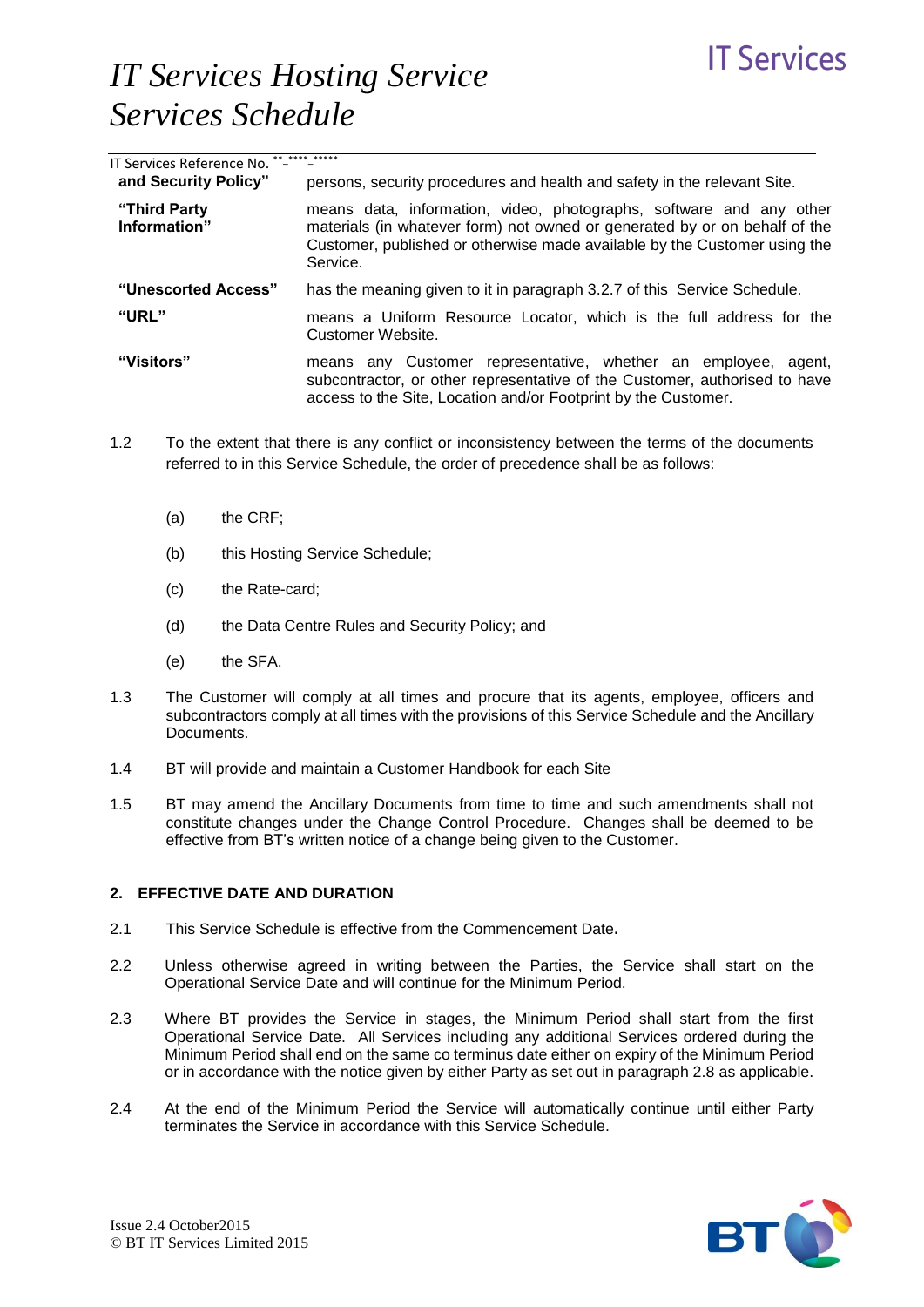| IT Services Reference No. ** |                                                                                                                                                                                                                                            |
|------------------------------|--------------------------------------------------------------------------------------------------------------------------------------------------------------------------------------------------------------------------------------------|
| and Security Policy"         | persons, security procedures and health and safety in the relevant Site.                                                                                                                                                                   |
| "Third Party<br>Information" | means data, information, video, photographs, software and any other<br>materials (in whatever form) not owned or generated by or on behalf of the<br>Customer, published or otherwise made available by the Customer using the<br>Service. |
| "Unescorted Access"          | has the meaning given to it in paragraph 3.2.7 of this Service Schedule.                                                                                                                                                                   |
| "URL"                        | means a Uniform Resource Locator, which is the full address for the<br>Customer Website.                                                                                                                                                   |
| "Visitors"                   | means any Customer representative, whether an employee,<br>agent,<br>subcontractor, or other representative of the Customer, authorised to have<br>access to the Site, Location and/or Footprint by the Customer.                          |

- 1.2 To the extent that there is any conflict or inconsistency between the terms of the documents referred to in this Service Schedule, the order of precedence shall be as follows:
	- (a) the CRF;
	- (b) this Hosting Service Schedule;
	- (c) the Rate-card;
	- (d) the Data Centre Rules and Security Policy; and
	- (e) the SFA.
- 1.3 The Customer will comply at all times and procure that its agents, employee, officers and subcontractors comply at all times with the provisions of this Service Schedule and the Ancillary Documents.
- 1.4 BT will provide and maintain a Customer Handbook for each Site
- 1.5 BT may amend the Ancillary Documents from time to time and such amendments shall not constitute changes under the Change Control Procedure. Changes shall be deemed to be effective from BT's written notice of a change being given to the Customer.

### **2. EFFECTIVE DATE AND DURATION**

- 2.1 This Service Schedule is effective from the Commencement Date**.**
- 2.2 Unless otherwise agreed in writing between the Parties, the Service shall start on the Operational Service Date and will continue for the Minimum Period.
- 2.3 Where BT provides the Service in stages, the Minimum Period shall start from the first Operational Service Date. All Services including any additional Services ordered during the Minimum Period shall end on the same co terminus date either on expiry of the Minimum Period or in accordance with the notice given by either Party as set out in paragraph 2.8 as applicable.
- 2.4 At the end of the Minimum Period the Service will automatically continue until either Party terminates the Service in accordance with this Service Schedule.



**IT Services**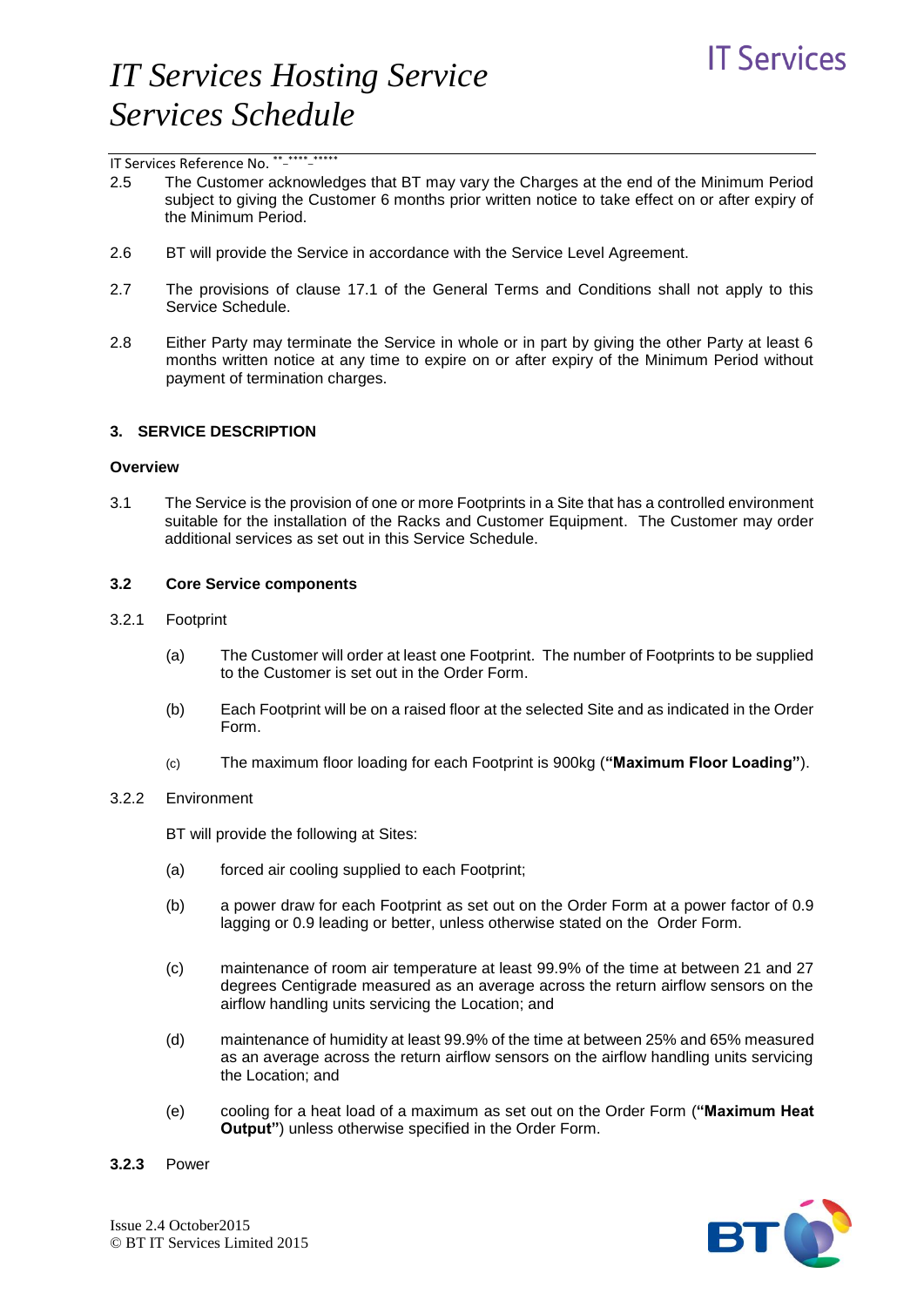

### IT Services Reference No. \*\*-\*\*\*\*\*\*\*\*\*\*\*

- 2.5 The Customer acknowledges that BT may vary the Charges at the end of the Minimum Period subject to giving the Customer 6 months prior written notice to take effect on or after expiry of the Minimum Period.
- 2.6 BT will provide the Service in accordance with the Service Level Agreement.
- 2.7 The provisions of clause 17.1 of the General Terms and Conditions shall not apply to this Service Schedule.
- 2.8 Either Party may terminate the Service in whole or in part by giving the other Party at least 6 months written notice at any time to expire on or after expiry of the Minimum Period without payment of termination charges.

#### **3. SERVICE DESCRIPTION**

### **Overview**

3.1 The Service is the provision of one or more Footprints in a Site that has a controlled environment suitable for the installation of the Racks and Customer Equipment. The Customer may order additional services as set out in this Service Schedule.

#### **3.2 Core Service components**

- 3.2.1 Footprint
	- (a) The Customer will order at least one Footprint. The number of Footprints to be supplied to the Customer is set out in the Order Form.
	- (b) Each Footprint will be on a raised floor at the selected Site and as indicated in the Order Form.
	- (c) The maximum floor loading for each Footprint is 900kg (**"Maximum Floor Loading"**).

#### 3.2.2 Environment

BT will provide the following at Sites:

- (a) forced air cooling supplied to each Footprint;
- (b) a power draw for each Footprint as set out on the Order Form at a power factor of 0.9 lagging or 0.9 leading or better, unless otherwise stated on the Order Form.
- (c) maintenance of room air temperature at least 99.9% of the time at between 21 and 27 degrees Centigrade measured as an average across the return airflow sensors on the airflow handling units servicing the Location; and
- (d) maintenance of humidity at least 99.9% of the time at between 25% and 65% measured as an average across the return airflow sensors on the airflow handling units servicing the Location; and
- (e) cooling for a heat load of a maximum as set out on the Order Form (**"Maximum Heat Output"**) unless otherwise specified in the Order Form.

**3.2.3** Power

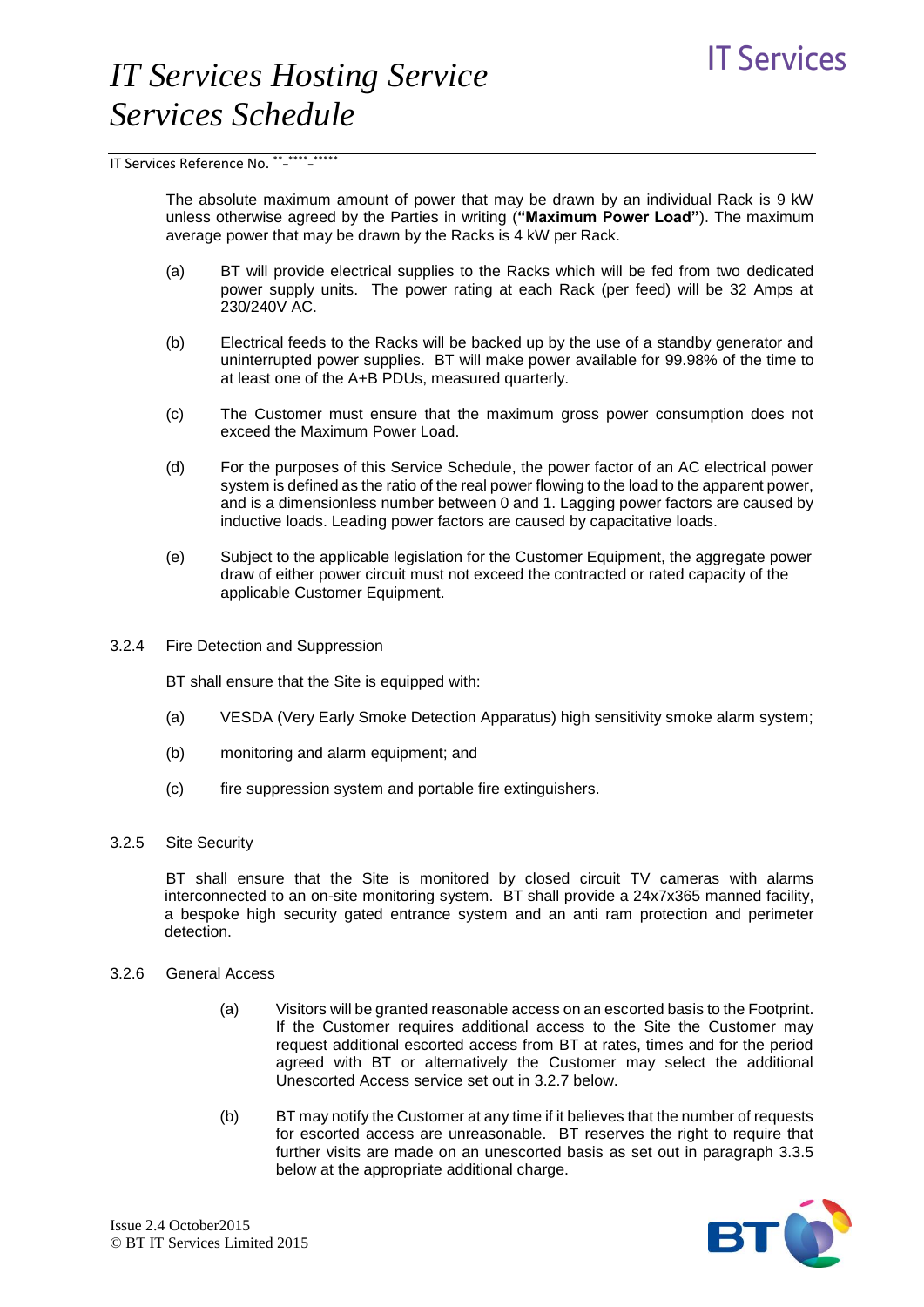The absolute maximum amount of power that may be drawn by an individual Rack is 9 kW unless otherwise agreed by the Parties in writing (**"Maximum Power Load"**). The maximum average power that may be drawn by the Racks is 4 kW per Rack.

- (a) BT will provide electrical supplies to the Racks which will be fed from two dedicated power supply units. The power rating at each Rack (per feed) will be 32 Amps at 230/240V AC.
- (b) Electrical feeds to the Racks will be backed up by the use of a standby generator and uninterrupted power supplies. BT will make power available for 99.98% of the time to at least one of the A+B PDUs, measured quarterly.
- (c) The Customer must ensure that the maximum gross power consumption does not exceed the Maximum Power Load.
- (d) For the purposes of this Service Schedule, the power factor of an AC electrical power system is defined as the ratio of the real power flowing to the load to the apparent power, and is a dimensionless number between 0 and 1. Lagging power factors are caused by inductive loads. Leading power factors are caused by capacitative loads.
- (e) Subject to the applicable legislation for the Customer Equipment, the aggregate power draw of either power circuit must not exceed the contracted or rated capacity of the applicable Customer Equipment.
- 3.2.4 Fire Detection and Suppression

BT shall ensure that the Site is equipped with:

- (a) VESDA (Very Early Smoke Detection Apparatus) high sensitivity smoke alarm system;
- (b) monitoring and alarm equipment; and
- (c) fire suppression system and portable fire extinguishers.

### 3.2.5 Site Security

BT shall ensure that the Site is monitored by closed circuit TV cameras with alarms interconnected to an on-site monitoring system. BT shall provide a 24x7x365 manned facility, a bespoke high security gated entrance system and an anti ram protection and perimeter detection.

#### 3.2.6 General Access

- (a) Visitors will be granted reasonable access on an escorted basis to the Footprint. If the Customer requires additional access to the Site the Customer may request additional escorted access from BT at rates, times and for the period agreed with BT or alternatively the Customer may select the additional Unescorted Access service set out in 3.2.7 below.
- (b) BT may notify the Customer at any time if it believes that the number of requests for escorted access are unreasonable. BT reserves the right to require that further visits are made on an unescorted basis as set out in paragraph 3.3.5 below at the appropriate additional charge.

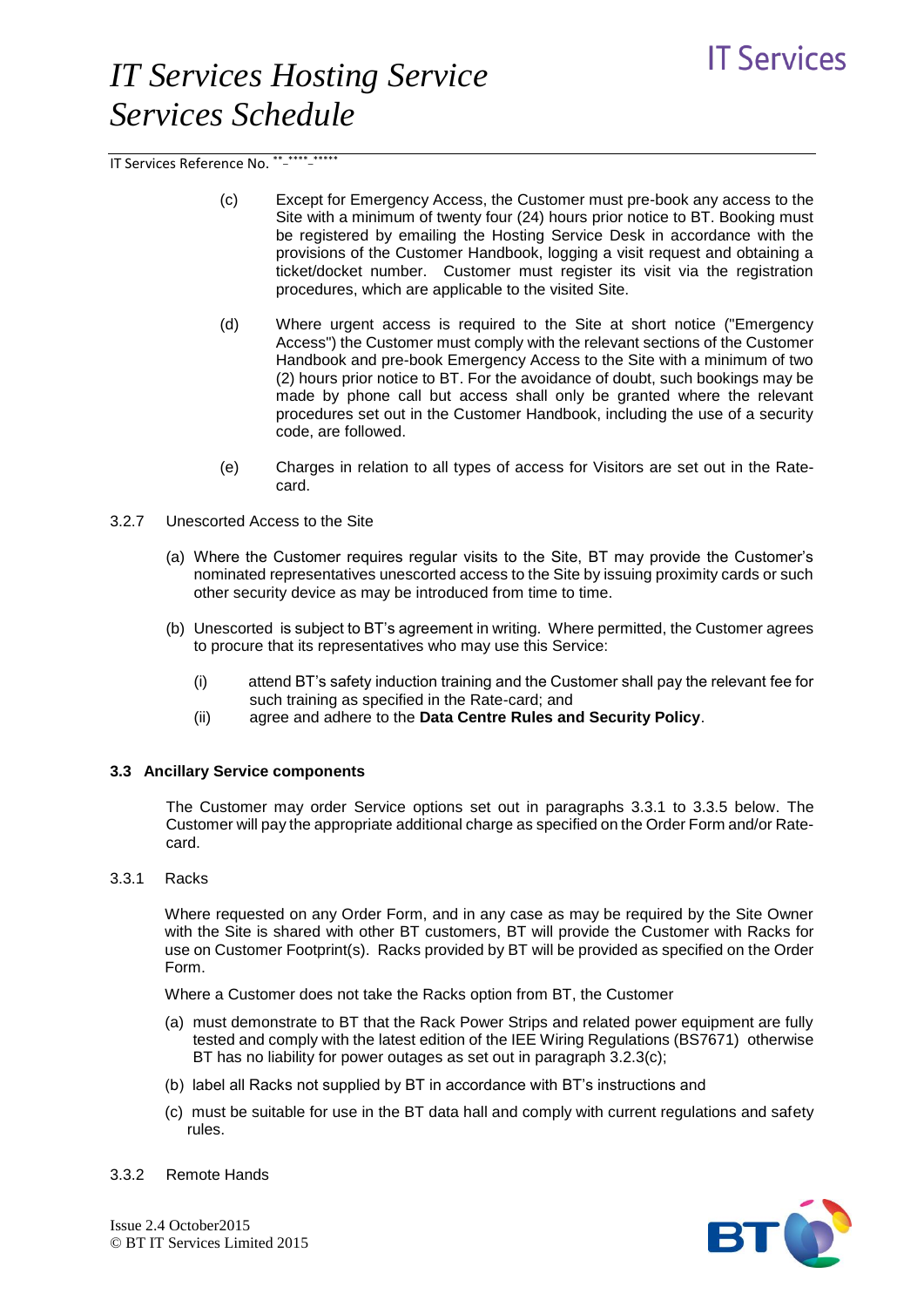IT Services Reference No. \*\*-\*\*\*\*\*\*\*\*\*\*\*

- (c) Except for Emergency Access, the Customer must pre-book any access to the Site with a minimum of twenty four (24) hours prior notice to BT. Booking must be registered by emailing the Hosting Service Desk in accordance with the provisions of the Customer Handbook, logging a visit request and obtaining a ticket/docket number. Customer must register its visit via the registration procedures, which are applicable to the visited Site.
- (d) Where urgent access is required to the Site at short notice ("Emergency Access") the Customer must comply with the relevant sections of the Customer Handbook and pre-book Emergency Access to the Site with a minimum of two (2) hours prior notice to BT. For the avoidance of doubt, such bookings may be made by phone call but access shall only be granted where the relevant procedures set out in the Customer Handbook, including the use of a security code, are followed.
- (e) Charges in relation to all types of access for Visitors are set out in the Ratecard.
- 3.2.7 Unescorted Access to the Site
	- (a) Where the Customer requires regular visits to the Site, BT may provide the Customer's nominated representatives unescorted access to the Site by issuing proximity cards or such other security device as may be introduced from time to time.
	- (b) Unescorted is subject to BT's agreement in writing. Where permitted, the Customer agrees to procure that its representatives who may use this Service:
		- (i) attend BT's safety induction training and the Customer shall pay the relevant fee for such training as specified in the Rate-card; and
		- (ii) agree and adhere to the **Data Centre Rules and Security Policy**.

### **3.3 Ancillary Service components**

The Customer may order Service options set out in paragraphs 3.3.1 to 3.3.5 below. The Customer will pay the appropriate additional charge as specified on the Order Form and/or Ratecard.

#### 3.3.1 Racks

Where requested on any Order Form, and in any case as may be required by the Site Owner with the Site is shared with other BT customers, BT will provide the Customer with Racks for use on Customer Footprint(s). Racks provided by BT will be provided as specified on the Order Form.

Where a Customer does not take the Racks option from BT, the Customer

- (a) must demonstrate to BT that the Rack Power Strips and related power equipment are fully tested and comply with the latest edition of the IEE Wiring Regulations (BS7671) otherwise BT has no liability for power outages as set out in paragraph 3.2.3(c);
- (b) label all Racks not supplied by BT in accordance with BT's instructions and
- (c) must be suitable for use in the BT data hall and comply with current regulations and safety rules.



3.3.2 Remote Hands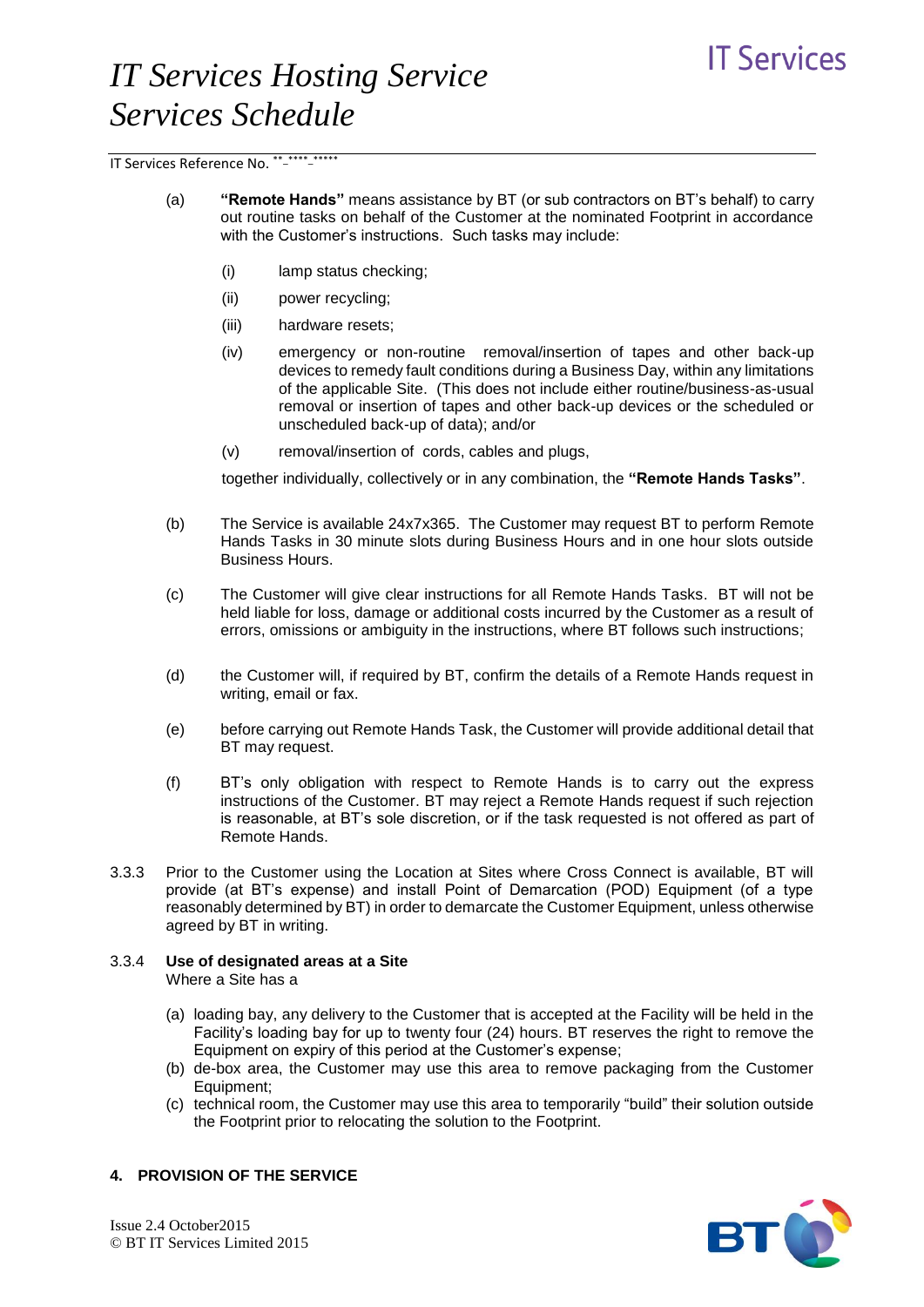# **IT Services**

# *IT Services Hosting Service Services Schedule*

IT Services Reference No. \*\*-\*\*\*\*\*\*\*\*\*\*\*

- (a) **"Remote Hands"** means assistance by BT (or sub contractors on BT's behalf) to carry out routine tasks on behalf of the Customer at the nominated Footprint in accordance with the Customer's instructions. Such tasks may include:
	- (i) lamp status checking;
	- (ii) power recycling;
	- (iii) hardware resets;
	- (iv) emergency or non-routine removal/insertion of tapes and other back-up devices to remedy fault conditions during a Business Day, within any limitations of the applicable Site. (This does not include either routine/business-as-usual removal or insertion of tapes and other back-up devices or the scheduled or unscheduled back-up of data); and/or
	- (v) removal/insertion of cords, cables and plugs,

together individually, collectively or in any combination, the **"Remote Hands Tasks"**.

- (b) The Service is available 24x7x365. The Customer may request BT to perform Remote Hands Tasks in 30 minute slots during Business Hours and in one hour slots outside Business Hours.
- (c) The Customer will give clear instructions for all Remote Hands Tasks. BT will not be held liable for loss, damage or additional costs incurred by the Customer as a result of errors, omissions or ambiguity in the instructions, where BT follows such instructions;
- (d) the Customer will, if required by BT, confirm the details of a Remote Hands request in writing, email or fax.
- (e) before carrying out Remote Hands Task, the Customer will provide additional detail that BT may request.
- (f) BT's only obligation with respect to Remote Hands is to carry out the express instructions of the Customer. BT may reject a Remote Hands request if such rejection is reasonable, at BT's sole discretion, or if the task requested is not offered as part of Remote Hands.
- 3.3.3 Prior to the Customer using the Location at Sites where Cross Connect is available, BT will provide (at BT's expense) and install Point of Demarcation (POD) Equipment (of a type reasonably determined by BT) in order to demarcate the Customer Equipment, unless otherwise agreed by BT in writing.

# 3.3.4 **Use of designated areas at a Site**

Where a Site has a

- (a) loading bay, any delivery to the Customer that is accepted at the Facility will be held in the Facility's loading bay for up to twenty four (24) hours. BT reserves the right to remove the Equipment on expiry of this period at the Customer's expense;
- (b) de-box area, the Customer may use this area to remove packaging from the Customer Equipment;
- (c) technical room, the Customer may use this area to temporarily "build" their solution outside the Footprint prior to relocating the solution to the Footprint.

### **4. PROVISION OF THE SERVICE**



Issue 2.4 October2015 © BT IT Services Limited 2015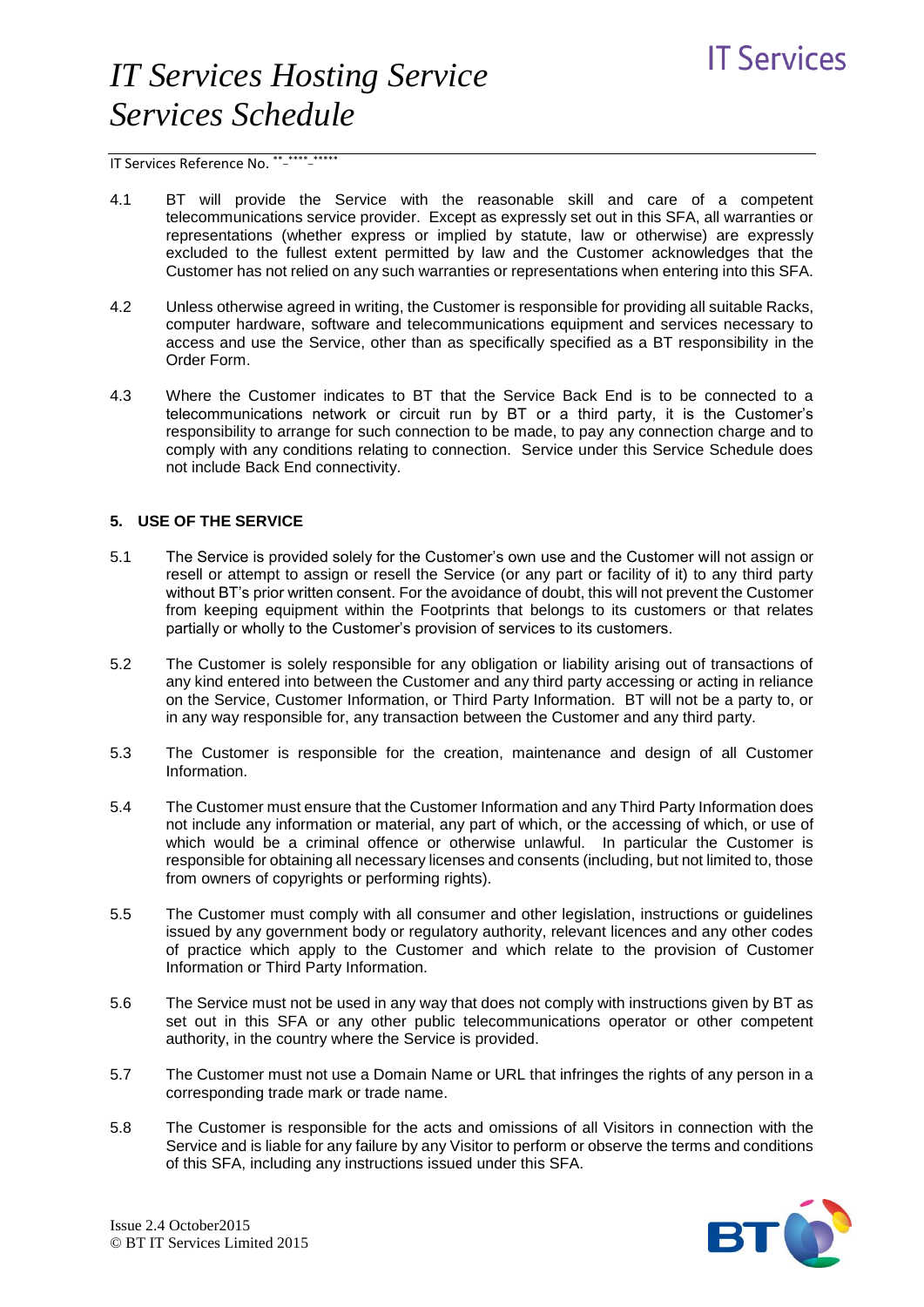

IT Services Reference No. \*\*-\*\*\*\*\*\*\*\*\*\*\*

- 4.1 BT will provide the Service with the reasonable skill and care of a competent telecommunications service provider. Except as expressly set out in this SFA, all warranties or representations (whether express or implied by statute, law or otherwise) are expressly excluded to the fullest extent permitted by law and the Customer acknowledges that the Customer has not relied on any such warranties or representations when entering into this SFA.
- 4.2 Unless otherwise agreed in writing, the Customer is responsible for providing all suitable Racks, computer hardware, software and telecommunications equipment and services necessary to access and use the Service, other than as specifically specified as a BT responsibility in the Order Form.
- 4.3 Where the Customer indicates to BT that the Service Back End is to be connected to a telecommunications network or circuit run by BT or a third party, it is the Customer's responsibility to arrange for such connection to be made, to pay any connection charge and to comply with any conditions relating to connection. Service under this Service Schedule does not include Back End connectivity.

### **5. USE OF THE SERVICE**

- 5.1 The Service is provided solely for the Customer's own use and the Customer will not assign or resell or attempt to assign or resell the Service (or any part or facility of it) to any third party without BT's prior written consent. For the avoidance of doubt, this will not prevent the Customer from keeping equipment within the Footprints that belongs to its customers or that relates partially or wholly to the Customer's provision of services to its customers.
- 5.2 The Customer is solely responsible for any obligation or liability arising out of transactions of any kind entered into between the Customer and any third party accessing or acting in reliance on the Service, Customer Information, or Third Party Information. BT will not be a party to, or in any way responsible for, any transaction between the Customer and any third party.
- 5.3 The Customer is responsible for the creation, maintenance and design of all Customer Information.
- 5.4 The Customer must ensure that the Customer Information and any Third Party Information does not include any information or material, any part of which, or the accessing of which, or use of which would be a criminal offence or otherwise unlawful. In particular the Customer is responsible for obtaining all necessary licenses and consents (including, but not limited to, those from owners of copyrights or performing rights).
- 5.5 The Customer must comply with all consumer and other legislation, instructions or guidelines issued by any government body or regulatory authority, relevant licences and any other codes of practice which apply to the Customer and which relate to the provision of Customer Information or Third Party Information.
- 5.6 The Service must not be used in any way that does not comply with instructions given by BT as set out in this SFA or any other public telecommunications operator or other competent authority, in the country where the Service is provided.
- 5.7 The Customer must not use a Domain Name or URL that infringes the rights of any person in a corresponding trade mark or trade name.
- 5.8 The Customer is responsible for the acts and omissions of all Visitors in connection with the Service and is liable for any failure by any Visitor to perform or observe the terms and conditions of this SFA, including any instructions issued under this SFA.

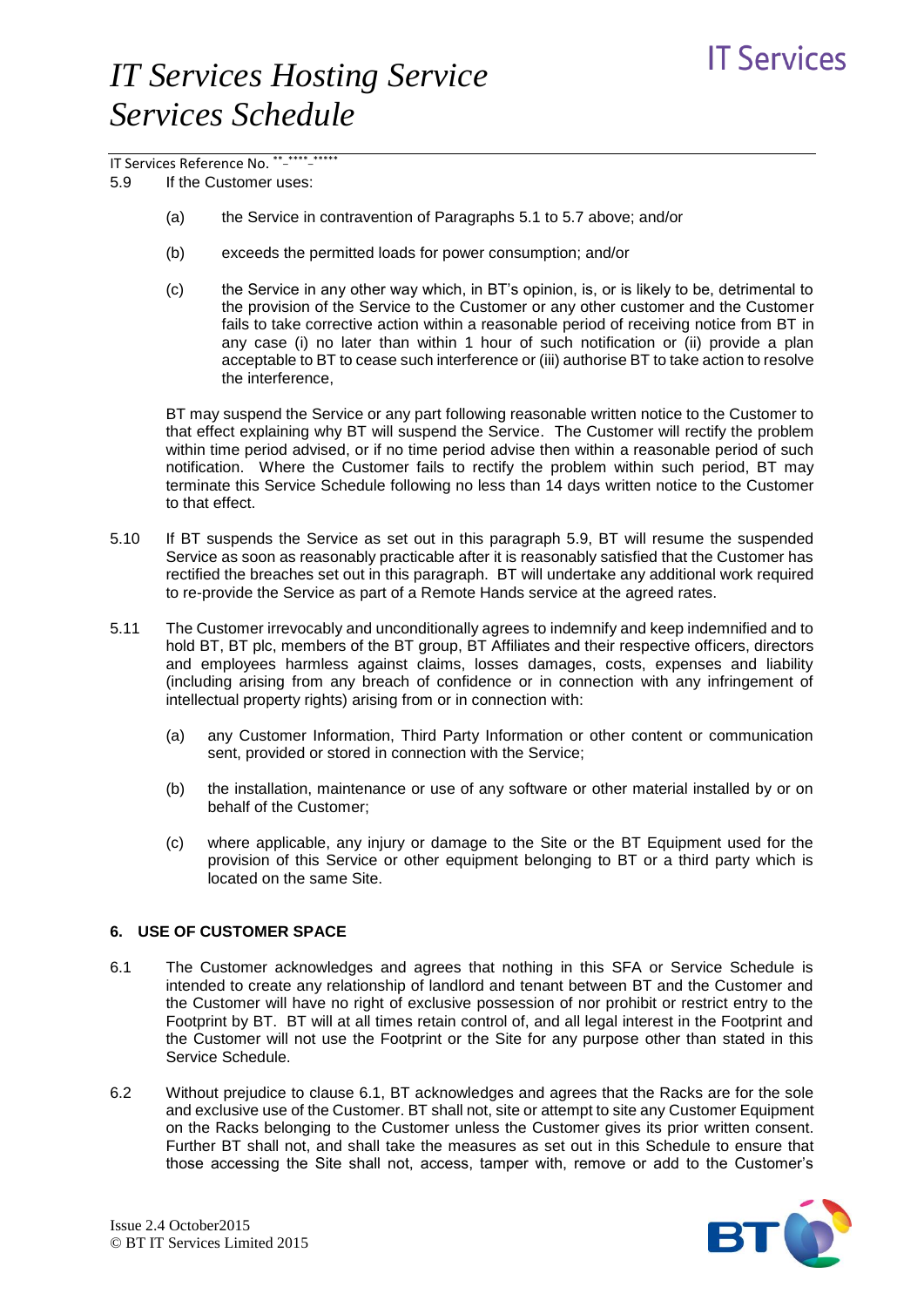# **IT Services**

# *IT Services Hosting Service Services Schedule*

# IT Services Reference No. \*\*-\*\*\*\*\*\*\*\*\*\*\*

5.9 If the Customer uses:

- (a) the Service in contravention of Paragraphs 5.1 to 5.7 above; and/or
- (b) exceeds the permitted loads for power consumption; and/or
- (c) the Service in any other way which, in BT's opinion, is, or is likely to be, detrimental to the provision of the Service to the Customer or any other customer and the Customer fails to take corrective action within a reasonable period of receiving notice from BT in any case (i) no later than within 1 hour of such notification or (ii) provide a plan acceptable to BT to cease such interference or (iii) authorise BT to take action to resolve the interference,

BT may suspend the Service or any part following reasonable written notice to the Customer to that effect explaining why BT will suspend the Service. The Customer will rectify the problem within time period advised, or if no time period advise then within a reasonable period of such notification. Where the Customer fails to rectify the problem within such period, BT may terminate this Service Schedule following no less than 14 days written notice to the Customer to that effect.

- 5.10 If BT suspends the Service as set out in this paragraph 5.9, BT will resume the suspended Service as soon as reasonably practicable after it is reasonably satisfied that the Customer has rectified the breaches set out in this paragraph. BT will undertake any additional work required to re-provide the Service as part of a Remote Hands service at the agreed rates.
- 5.11 The Customer irrevocably and unconditionally agrees to indemnify and keep indemnified and to hold BT, BT plc, members of the BT group, BT Affiliates and their respective officers, directors and employees harmless against claims, losses damages, costs, expenses and liability (including arising from any breach of confidence or in connection with any infringement of intellectual property rights) arising from or in connection with:
	- (a) any Customer Information, Third Party Information or other content or communication sent, provided or stored in connection with the Service;
	- (b) the installation, maintenance or use of any software or other material installed by or on behalf of the Customer;
	- (c) where applicable, any injury or damage to the Site or the BT Equipment used for the provision of this Service or other equipment belonging to BT or a third party which is located on the same Site.

## **6. USE OF CUSTOMER SPACE**

- 6.1 The Customer acknowledges and agrees that nothing in this SFA or Service Schedule is intended to create any relationship of landlord and tenant between BT and the Customer and the Customer will have no right of exclusive possession of nor prohibit or restrict entry to the Footprint by BT. BT will at all times retain control of, and all legal interest in the Footprint and the Customer will not use the Footprint or the Site for any purpose other than stated in this Service Schedule.
- 6.2 Without prejudice to clause 6.1, BT acknowledges and agrees that the Racks are for the sole and exclusive use of the Customer. BT shall not, site or attempt to site any Customer Equipment on the Racks belonging to the Customer unless the Customer gives its prior written consent. Further BT shall not, and shall take the measures as set out in this Schedule to ensure that those accessing the Site shall not, access, tamper with, remove or add to the Customer's

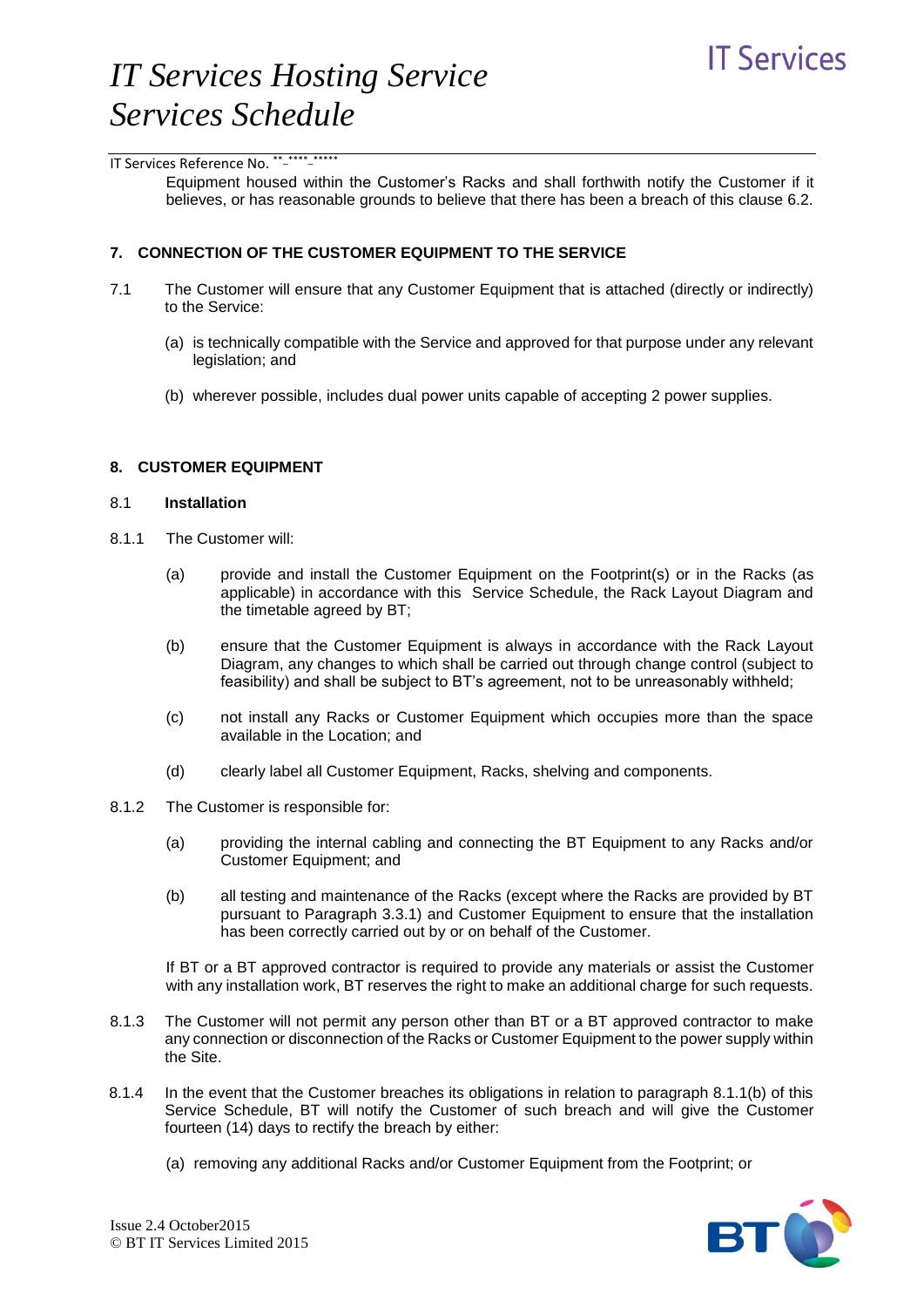Equipment housed within the Customer's Racks and shall forthwith notify the Customer if it believes, or has reasonable grounds to believe that there has been a breach of this clause 6.2.

#### **7. CONNECTION OF THE CUSTOMER EQUIPMENT TO THE SERVICE**

- 7.1 The Customer will ensure that any Customer Equipment that is attached (directly or indirectly) to the Service:
	- (a) is technically compatible with the Service and approved for that purpose under any relevant legislation; and
	- (b) wherever possible, includes dual power units capable of accepting 2 power supplies.

### **8. CUSTOMER EQUIPMENT**

### 8.1 **Installation**

- 8.1.1 The Customer will:
	- (a) provide and install the Customer Equipment on the Footprint(s) or in the Racks (as applicable) in accordance with this Service Schedule, the Rack Layout Diagram and the timetable agreed by BT;
	- (b) ensure that the Customer Equipment is always in accordance with the Rack Layout Diagram, any changes to which shall be carried out through change control (subject to feasibility) and shall be subject to BT's agreement, not to be unreasonably withheld;
	- (c) not install any Racks or Customer Equipment which occupies more than the space available in the Location; and
	- (d) clearly label all Customer Equipment, Racks, shelving and components.
- 8.1.2 The Customer is responsible for:
	- (a) providing the internal cabling and connecting the BT Equipment to any Racks and/or Customer Equipment; and
	- (b) all testing and maintenance of the Racks (except where the Racks are provided by BT pursuant to Paragraph 3.3.1) and Customer Equipment to ensure that the installation has been correctly carried out by or on behalf of the Customer.

If BT or a BT approved contractor is required to provide any materials or assist the Customer with any installation work, BT reserves the right to make an additional charge for such requests.

- 8.1.3 The Customer will not permit any person other than BT or a BT approved contractor to make any connection or disconnection of the Racks or Customer Equipment to the power supply within the Site.
- 8.1.4 In the event that the Customer breaches its obligations in relation to paragraph 8.1.1(b) of this Service Schedule, BT will notify the Customer of such breach and will give the Customer fourteen (14) days to rectify the breach by either:
	- (a) removing any additional Racks and/or Customer Equipment from the Footprint; or

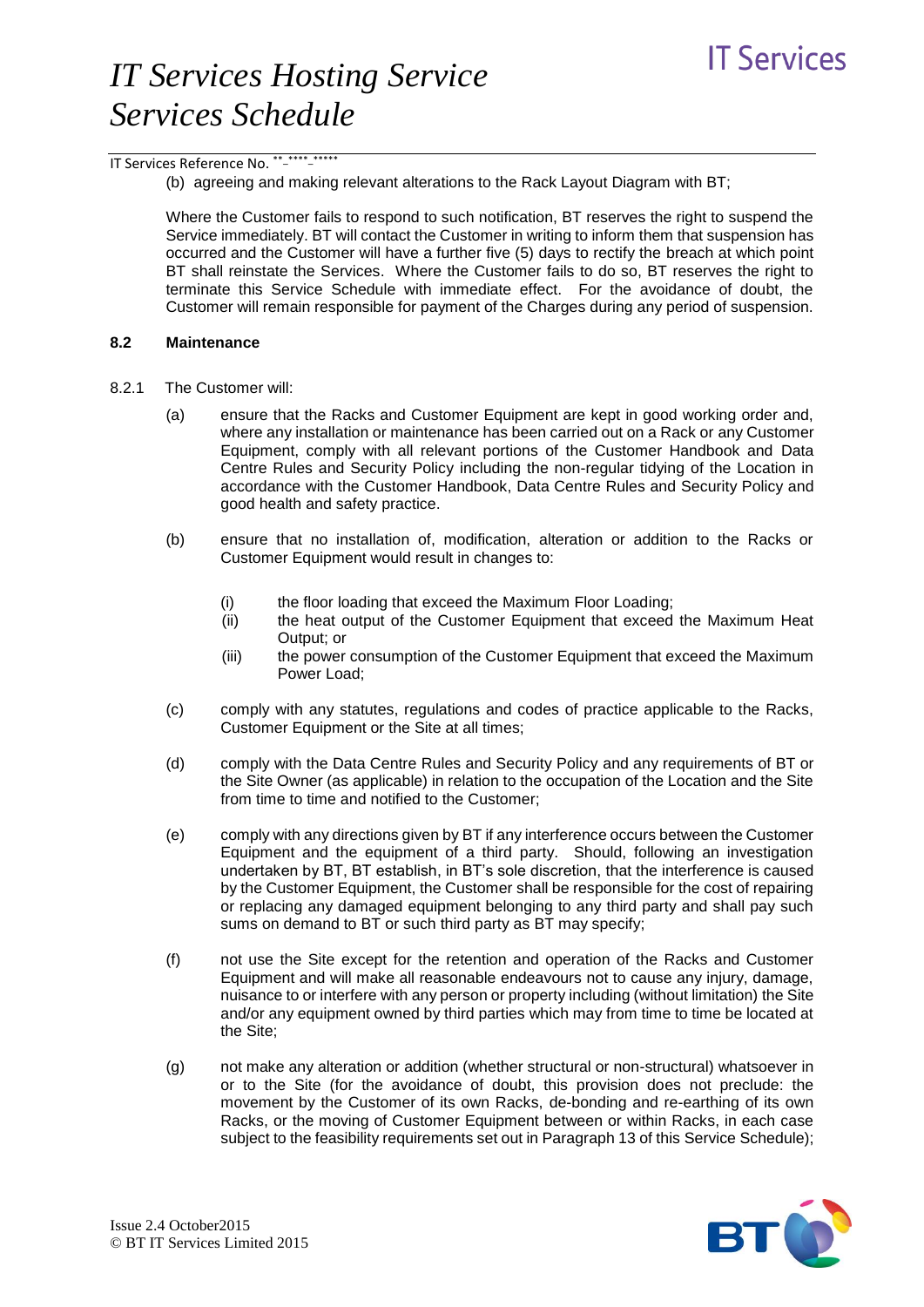IT Services Reference No. \*\* \*\*\*\*\* \*\*\*\*\*

(b) agreeing and making relevant alterations to the Rack Layout Diagram with BT;

Where the Customer fails to respond to such notification, BT reserves the right to suspend the Service immediately. BT will contact the Customer in writing to inform them that suspension has occurred and the Customer will have a further five (5) days to rectify the breach at which point BT shall reinstate the Services. Where the Customer fails to do so, BT reserves the right to terminate this Service Schedule with immediate effect. For the avoidance of doubt, the Customer will remain responsible for payment of the Charges during any period of suspension.

#### **8.2 Maintenance**

- 8.2.1 The Customer will:
	- (a) ensure that the Racks and Customer Equipment are kept in good working order and, where any installation or maintenance has been carried out on a Rack or any Customer Equipment, comply with all relevant portions of the Customer Handbook and Data Centre Rules and Security Policy including the non-regular tidying of the Location in accordance with the Customer Handbook, Data Centre Rules and Security Policy and good health and safety practice.
	- (b) ensure that no installation of, modification, alteration or addition to the Racks or Customer Equipment would result in changes to:
		- (i) the floor loading that exceed the Maximum Floor Loading;
		- (ii) the heat output of the Customer Equipment that exceed the Maximum Heat Output; or
		- (iii) the power consumption of the Customer Equipment that exceed the Maximum Power Load;
	- (c) comply with any statutes, regulations and codes of practice applicable to the Racks, Customer Equipment or the Site at all times;
	- (d) comply with the Data Centre Rules and Security Policy and any requirements of BT or the Site Owner (as applicable) in relation to the occupation of the Location and the Site from time to time and notified to the Customer;
	- (e) comply with any directions given by BT if any interference occurs between the Customer Equipment and the equipment of a third party. Should, following an investigation undertaken by BT, BT establish, in BT's sole discretion, that the interference is caused by the Customer Equipment, the Customer shall be responsible for the cost of repairing or replacing any damaged equipment belonging to any third party and shall pay such sums on demand to BT or such third party as BT may specify;
	- (f) not use the Site except for the retention and operation of the Racks and Customer Equipment and will make all reasonable endeavours not to cause any injury, damage, nuisance to or interfere with any person or property including (without limitation) the Site and/or any equipment owned by third parties which may from time to time be located at the Site;
	- (g) not make any alteration or addition (whether structural or non-structural) whatsoever in or to the Site (for the avoidance of doubt, this provision does not preclude: the movement by the Customer of its own Racks, de-bonding and re-earthing of its own Racks, or the moving of Customer Equipment between or within Racks, in each case subject to the feasibility requirements set out in Paragraph 13 of this Service Schedule);

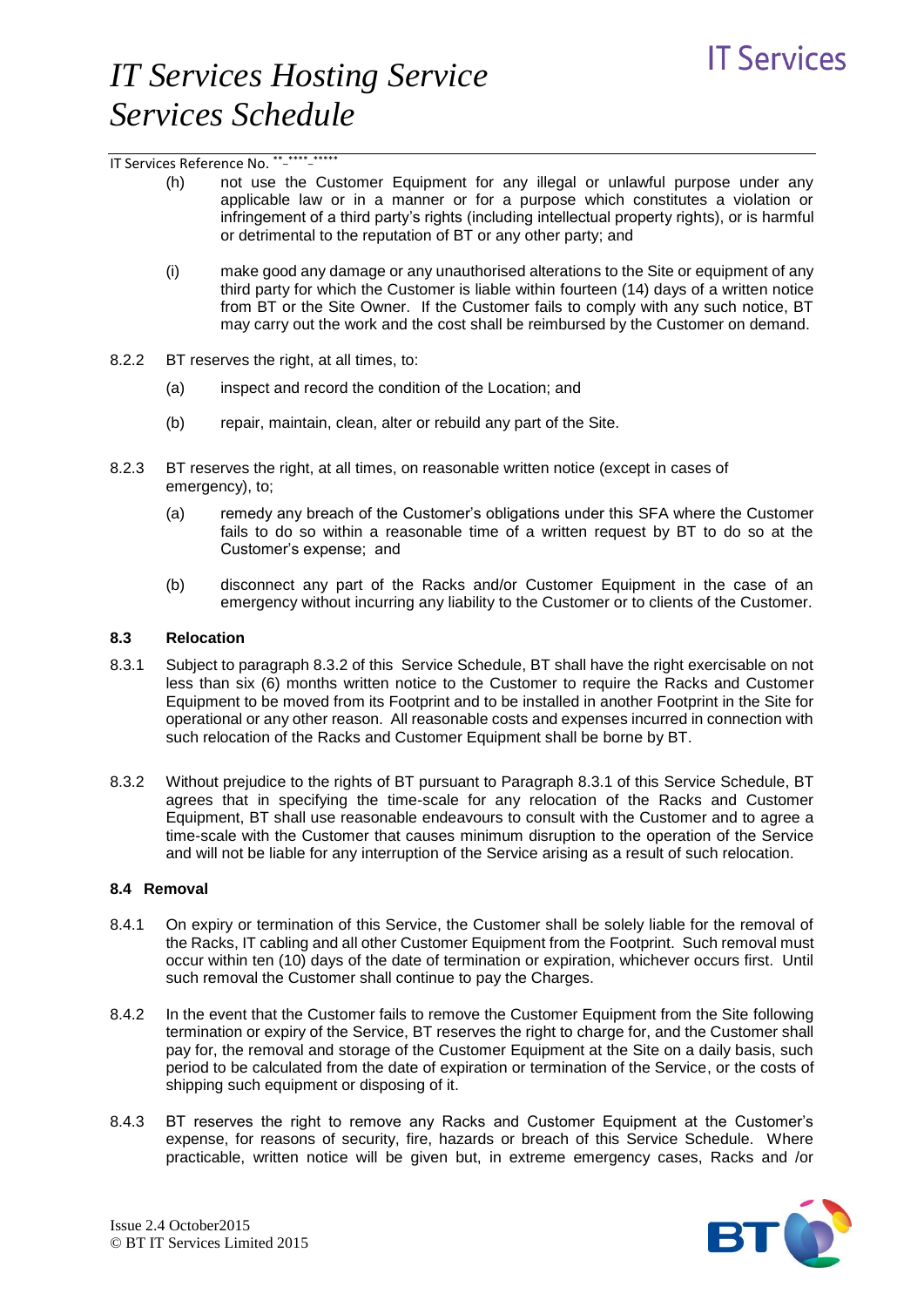IT Services Reference No. \*\* \*\*\*\*\* \*\*\*\*\*

- (h) not use the Customer Equipment for any illegal or unlawful purpose under any applicable law or in a manner or for a purpose which constitutes a violation or infringement of a third party's rights (including intellectual property rights), or is harmful or detrimental to the reputation of BT or any other party; and
- (i) make good any damage or any unauthorised alterations to the Site or equipment of any third party for which the Customer is liable within fourteen (14) days of a written notice from BT or the Site Owner. If the Customer fails to comply with any such notice, BT may carry out the work and the cost shall be reimbursed by the Customer on demand.
- 8.2.2 BT reserves the right, at all times, to:
	- (a) inspect and record the condition of the Location; and
	- (b) repair, maintain, clean, alter or rebuild any part of the Site.
- 8.2.3 BT reserves the right, at all times, on reasonable written notice (except in cases of emergency), to;
	- (a) remedy any breach of the Customer's obligations under this SFA where the Customer fails to do so within a reasonable time of a written request by BT to do so at the Customer's expense; and
	- (b) disconnect any part of the Racks and/or Customer Equipment in the case of an emergency without incurring any liability to the Customer or to clients of the Customer.

#### **8.3 Relocation**

- 8.3.1 Subject to paragraph 8.3.2 of this Service Schedule, BT shall have the right exercisable on not less than six (6) months written notice to the Customer to require the Racks and Customer Equipment to be moved from its Footprint and to be installed in another Footprint in the Site for operational or any other reason. All reasonable costs and expenses incurred in connection with such relocation of the Racks and Customer Equipment shall be borne by BT.
- 8.3.2 Without prejudice to the rights of BT pursuant to Paragraph 8.3.1 of this Service Schedule, BT agrees that in specifying the time-scale for any relocation of the Racks and Customer Equipment, BT shall use reasonable endeavours to consult with the Customer and to agree a time-scale with the Customer that causes minimum disruption to the operation of the Service and will not be liable for any interruption of the Service arising as a result of such relocation.

#### **8.4 Removal**

- 8.4.1 On expiry or termination of this Service, the Customer shall be solely liable for the removal of the Racks, IT cabling and all other Customer Equipment from the Footprint. Such removal must occur within ten (10) days of the date of termination or expiration, whichever occurs first. Until such removal the Customer shall continue to pay the Charges.
- 8.4.2 In the event that the Customer fails to remove the Customer Equipment from the Site following termination or expiry of the Service, BT reserves the right to charge for, and the Customer shall pay for, the removal and storage of the Customer Equipment at the Site on a daily basis, such period to be calculated from the date of expiration or termination of the Service, or the costs of shipping such equipment or disposing of it.
- 8.4.3 BT reserves the right to remove any Racks and Customer Equipment at the Customer's expense, for reasons of security, fire, hazards or breach of this Service Schedule. Where practicable, written notice will be given but, in extreme emergency cases, Racks and /or

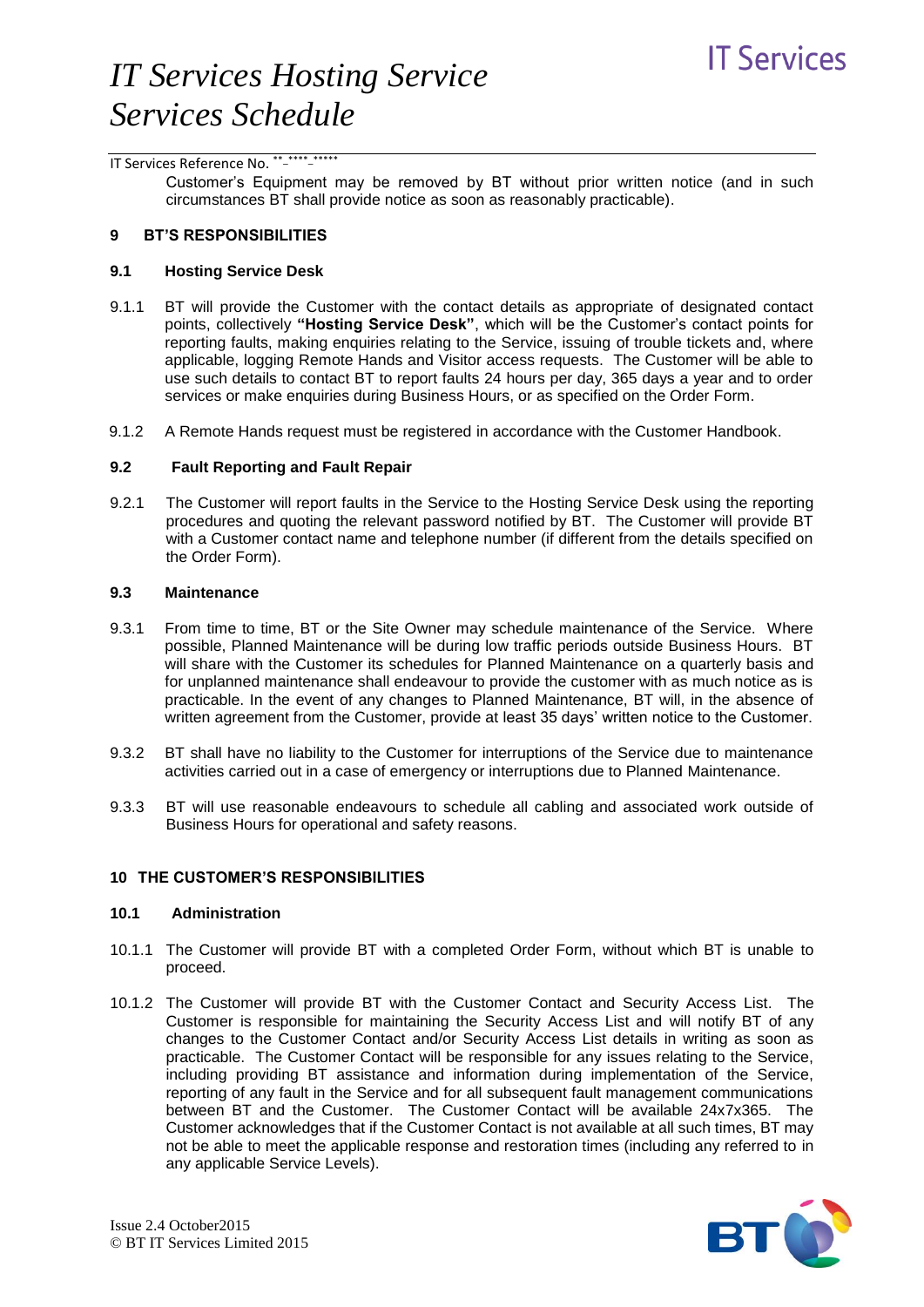### IT Services Reference No. \*\*-\*\*\*\*\*\*\*\*\*\*\*

Customer's Equipment may be removed by BT without prior written notice (and in such circumstances BT shall provide notice as soon as reasonably practicable).

### **9 BT'S RESPONSIBILITIES**

#### **9.1 Hosting Service Desk**

- 9.1.1 BT will provide the Customer with the contact details as appropriate of designated contact points, collectively **"Hosting Service Desk"**, which will be the Customer's contact points for reporting faults, making enquiries relating to the Service, issuing of trouble tickets and, where applicable, logging Remote Hands and Visitor access requests. The Customer will be able to use such details to contact BT to report faults 24 hours per day, 365 days a year and to order services or make enquiries during Business Hours, or as specified on the Order Form.
- 9.1.2 A Remote Hands request must be registered in accordance with the Customer Handbook.

### **9.2 Fault Reporting and Fault Repair**

9.2.1 The Customer will report faults in the Service to the Hosting Service Desk using the reporting procedures and quoting the relevant password notified by BT. The Customer will provide BT with a Customer contact name and telephone number (if different from the details specified on the Order Form).

#### **9.3 Maintenance**

- 9.3.1 From time to time, BT or the Site Owner may schedule maintenance of the Service. Where possible, Planned Maintenance will be during low traffic periods outside Business Hours. BT will share with the Customer its schedules for Planned Maintenance on a quarterly basis and for unplanned maintenance shall endeavour to provide the customer with as much notice as is practicable. In the event of any changes to Planned Maintenance, BT will, in the absence of written agreement from the Customer, provide at least 35 days' written notice to the Customer.
- 9.3.2 BT shall have no liability to the Customer for interruptions of the Service due to maintenance activities carried out in a case of emergency or interruptions due to Planned Maintenance.
- 9.3.3 BT will use reasonable endeavours to schedule all cabling and associated work outside of Business Hours for operational and safety reasons.

#### **10 THE CUSTOMER'S RESPONSIBILITIES**

#### **10.1 Administration**

- 10.1.1 The Customer will provide BT with a completed Order Form, without which BT is unable to proceed.
- 10.1.2 The Customer will provide BT with the Customer Contact and Security Access List. The Customer is responsible for maintaining the Security Access List and will notify BT of any changes to the Customer Contact and/or Security Access List details in writing as soon as practicable. The Customer Contact will be responsible for any issues relating to the Service, including providing BT assistance and information during implementation of the Service, reporting of any fault in the Service and for all subsequent fault management communications between BT and the Customer. The Customer Contact will be available 24x7x365. The Customer acknowledges that if the Customer Contact is not available at all such times, BT may not be able to meet the applicable response and restoration times (including any referred to in any applicable Service Levels).

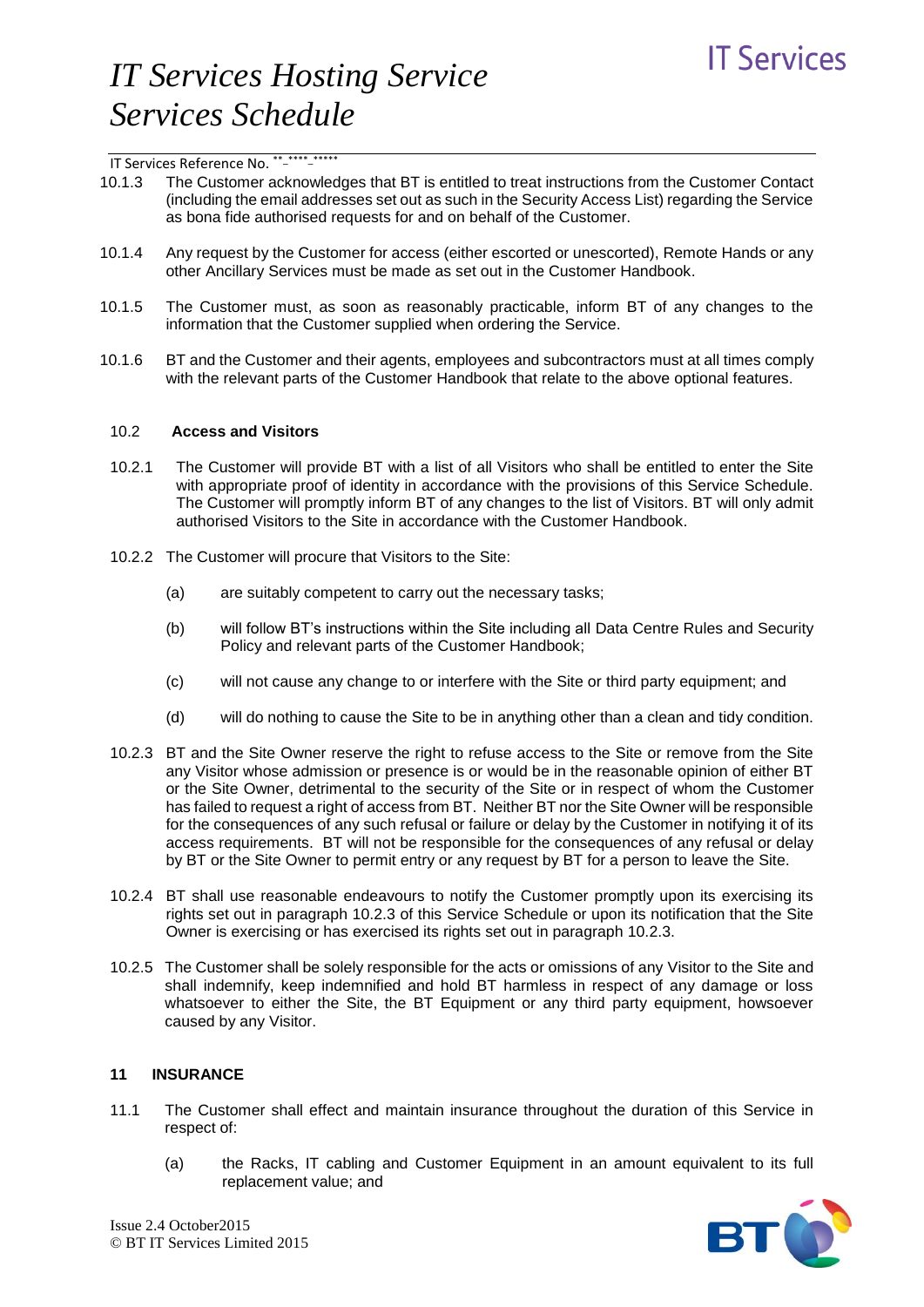- 10.1.3 The Customer acknowledges that BT is entitled to treat instructions from the Customer Contact (including the email addresses set out as such in the Security Access List) regarding the Service as bona fide authorised requests for and on behalf of the Customer.
- 10.1.4 Any request by the Customer for access (either escorted or unescorted), Remote Hands or any other Ancillary Services must be made as set out in the Customer Handbook.
- 10.1.5 The Customer must, as soon as reasonably practicable, inform BT of any changes to the information that the Customer supplied when ordering the Service.
- 10.1.6 BT and the Customer and their agents, employees and subcontractors must at all times comply with the relevant parts of the Customer Handbook that relate to the above optional features.

#### 10.2 **Access and Visitors**

- 10.2.1 The Customer will provide BT with a list of all Visitors who shall be entitled to enter the Site with appropriate proof of identity in accordance with the provisions of this Service Schedule. The Customer will promptly inform BT of any changes to the list of Visitors. BT will only admit authorised Visitors to the Site in accordance with the Customer Handbook.
- 10.2.2 The Customer will procure that Visitors to the Site:
	- (a) are suitably competent to carry out the necessary tasks;
	- (b) will follow BT's instructions within the Site including all Data Centre Rules and Security Policy and relevant parts of the Customer Handbook;
	- (c) will not cause any change to or interfere with the Site or third party equipment; and
	- (d) will do nothing to cause the Site to be in anything other than a clean and tidy condition.
- 10.2.3 BT and the Site Owner reserve the right to refuse access to the Site or remove from the Site any Visitor whose admission or presence is or would be in the reasonable opinion of either BT or the Site Owner, detrimental to the security of the Site or in respect of whom the Customer has failed to request a right of access from BT. Neither BT nor the Site Owner will be responsible for the consequences of any such refusal or failure or delay by the Customer in notifying it of its access requirements. BT will not be responsible for the consequences of any refusal or delay by BT or the Site Owner to permit entry or any request by BT for a person to leave the Site.
- 10.2.4 BT shall use reasonable endeavours to notify the Customer promptly upon its exercising its rights set out in paragraph 10.2.3 of this Service Schedule or upon its notification that the Site Owner is exercising or has exercised its rights set out in paragraph 10.2.3.
- 10.2.5 The Customer shall be solely responsible for the acts or omissions of any Visitor to the Site and shall indemnify, keep indemnified and hold BT harmless in respect of any damage or loss whatsoever to either the Site, the BT Equipment or any third party equipment, howsoever caused by any Visitor.

#### **11 INSURANCE**

- 11.1 The Customer shall effect and maintain insurance throughout the duration of this Service in respect of:
	- (a) the Racks, IT cabling and Customer Equipment in an amount equivalent to its full replacement value; and

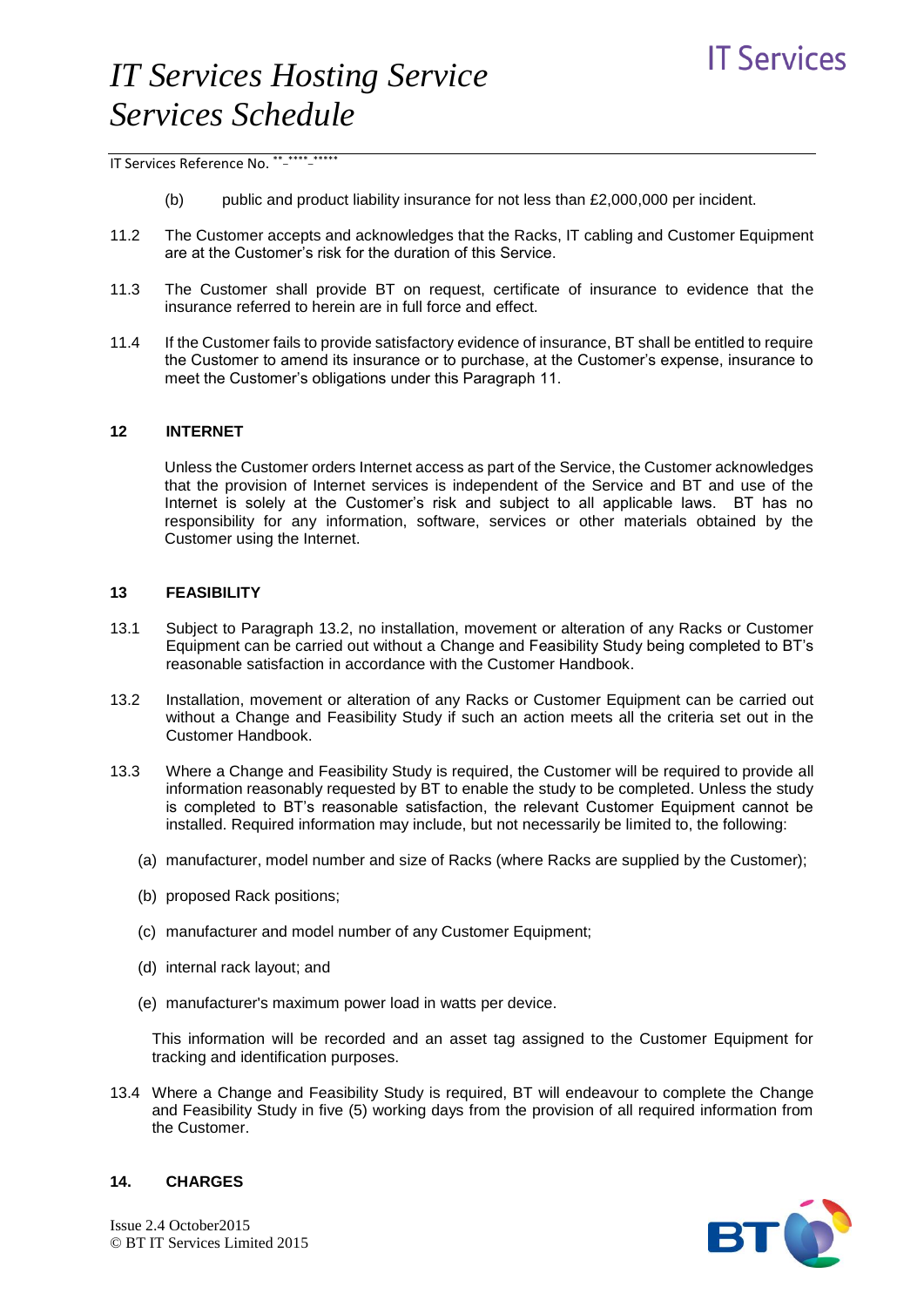- $(b)$  public and product liability insurance for not less than £2,000,000 per incident.
- 11.2 The Customer accepts and acknowledges that the Racks, IT cabling and Customer Equipment are at the Customer's risk for the duration of this Service.
- 11.3 The Customer shall provide BT on request, certificate of insurance to evidence that the insurance referred to herein are in full force and effect.
- 11.4 If the Customer fails to provide satisfactory evidence of insurance, BT shall be entitled to require the Customer to amend its insurance or to purchase, at the Customer's expense, insurance to meet the Customer's obligations under this Paragraph 11.

#### **12 INTERNET**

Unless the Customer orders Internet access as part of the Service, the Customer acknowledges that the provision of Internet services is independent of the Service and BT and use of the Internet is solely at the Customer's risk and subject to all applicable laws. BT has no responsibility for any information, software, services or other materials obtained by the Customer using the Internet.

#### **13 FEASIBILITY**

- 13.1 Subject to Paragraph 13.2, no installation, movement or alteration of any Racks or Customer Equipment can be carried out without a Change and Feasibility Study being completed to BT's reasonable satisfaction in accordance with the Customer Handbook.
- 13.2 Installation, movement or alteration of any Racks or Customer Equipment can be carried out without a Change and Feasibility Study if such an action meets all the criteria set out in the Customer Handbook.
- 13.3 Where a Change and Feasibility Study is required, the Customer will be required to provide all information reasonably requested by BT to enable the study to be completed. Unless the study is completed to BT's reasonable satisfaction, the relevant Customer Equipment cannot be installed. Required information may include, but not necessarily be limited to, the following:
	- (a) manufacturer, model number and size of Racks (where Racks are supplied by the Customer);
	- (b) proposed Rack positions;
	- (c) manufacturer and model number of any Customer Equipment;
	- (d) internal rack layout; and
	- (e) manufacturer's maximum power load in watts per device.

This information will be recorded and an asset tag assigned to the Customer Equipment for tracking and identification purposes.

13.4 Where a Change and Feasibility Study is required, BT will endeavour to complete the Change and Feasibility Study in five (5) working days from the provision of all required information from the Customer.



### **14. CHARGES**

Issue 2.4 October2015 © BT IT Services Limited 2015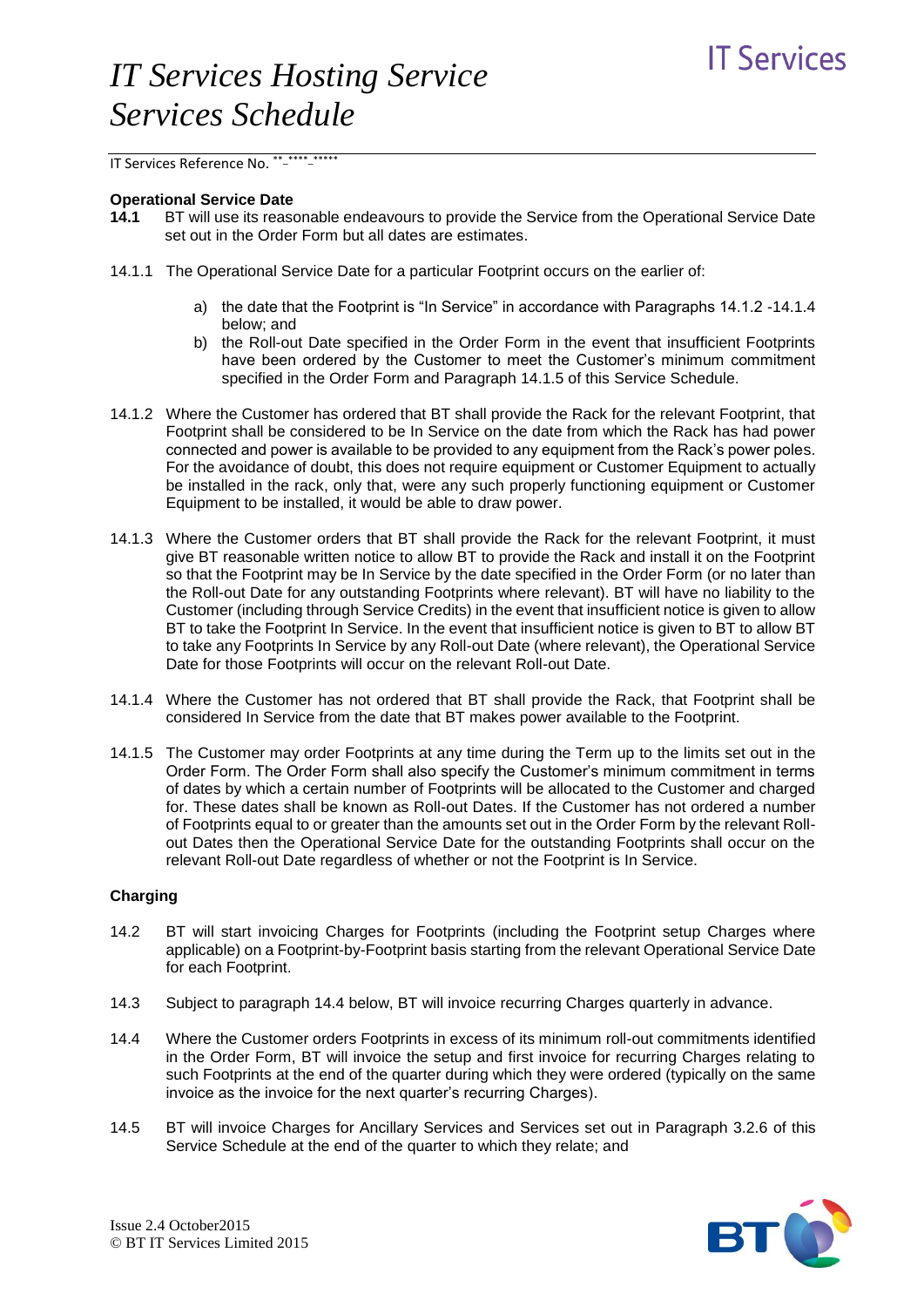IT Services Reference No. \*\*-\*\*\*\*\*\*\*\*\*\*

#### **Operational Service Date**

- **14.1** BT will use its reasonable endeavours to provide the Service from the Operational Service Date set out in the Order Form but all dates are estimates.
- 14.1.1 The Operational Service Date for a particular Footprint occurs on the earlier of:
	- a) the date that the Footprint is "In Service" in accordance with Paragraphs 14.1.2 -14.1.4 below; and
	- b) the Roll-out Date specified in the Order Form in the event that insufficient Footprints have been ordered by the Customer to meet the Customer's minimum commitment specified in the Order Form and Paragraph 14.1.5 of this Service Schedule.
- 14.1.2 Where the Customer has ordered that BT shall provide the Rack for the relevant Footprint, that Footprint shall be considered to be In Service on the date from which the Rack has had power connected and power is available to be provided to any equipment from the Rack's power poles. For the avoidance of doubt, this does not require equipment or Customer Equipment to actually be installed in the rack, only that, were any such properly functioning equipment or Customer Equipment to be installed, it would be able to draw power.
- 14.1.3 Where the Customer orders that BT shall provide the Rack for the relevant Footprint, it must give BT reasonable written notice to allow BT to provide the Rack and install it on the Footprint so that the Footprint may be In Service by the date specified in the Order Form (or no later than the Roll-out Date for any outstanding Footprints where relevant). BT will have no liability to the Customer (including through Service Credits) in the event that insufficient notice is given to allow BT to take the Footprint In Service. In the event that insufficient notice is given to BT to allow BT to take any Footprints In Service by any Roll-out Date (where relevant), the Operational Service Date for those Footprints will occur on the relevant Roll-out Date.
- 14.1.4 Where the Customer has not ordered that BT shall provide the Rack, that Footprint shall be considered In Service from the date that BT makes power available to the Footprint.
- 14.1.5 The Customer may order Footprints at any time during the Term up to the limits set out in the Order Form. The Order Form shall also specify the Customer's minimum commitment in terms of dates by which a certain number of Footprints will be allocated to the Customer and charged for. These dates shall be known as Roll-out Dates. If the Customer has not ordered a number of Footprints equal to or greater than the amounts set out in the Order Form by the relevant Rollout Dates then the Operational Service Date for the outstanding Footprints shall occur on the relevant Roll-out Date regardless of whether or not the Footprint is In Service.

### **Charging**

- 14.2 BT will start invoicing Charges for Footprints (including the Footprint setup Charges where applicable) on a Footprint-by-Footprint basis starting from the relevant Operational Service Date for each Footprint.
- 14.3 Subject to paragraph 14.4 below, BT will invoice recurring Charges quarterly in advance.
- 14.4 Where the Customer orders Footprints in excess of its minimum roll-out commitments identified in the Order Form, BT will invoice the setup and first invoice for recurring Charges relating to such Footprints at the end of the quarter during which they were ordered (typically on the same invoice as the invoice for the next quarter's recurring Charges).
- 14.5 BT will invoice Charges for Ancillary Services and Services set out in Paragraph 3.2.6 of this Service Schedule at the end of the quarter to which they relate; and